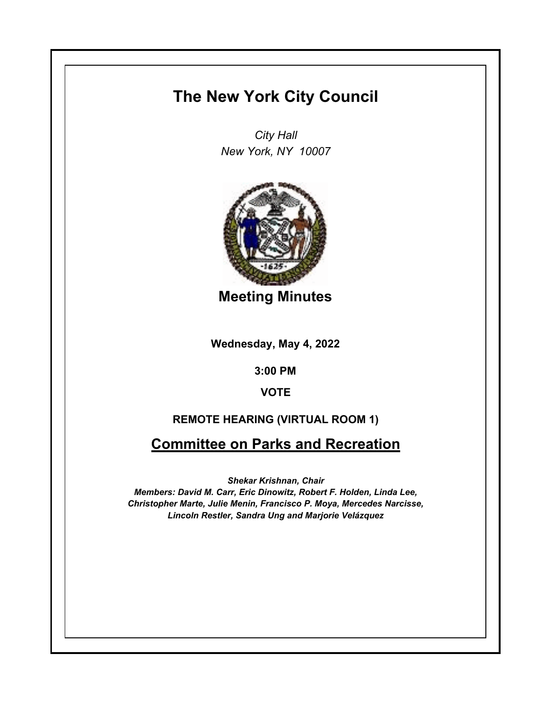## **The New York City Council**

*City Hall New York, NY 10007*



**Meeting Minutes**

**Wednesday, May 4, 2022**

**3:00 PM**

**VOTE**

## **REMOTE HEARING (VIRTUAL ROOM 1)**

**Committee on Parks and Recreation**

*Shekar Krishnan, Chair*

*Members: David M. Carr, Eric Dinowitz, Robert F. Holden, Linda Lee, Christopher Marte, Julie Menin, Francisco P. Moya, Mercedes Narcisse, Lincoln Restler, Sandra Ung and Marjorie Velázquez*